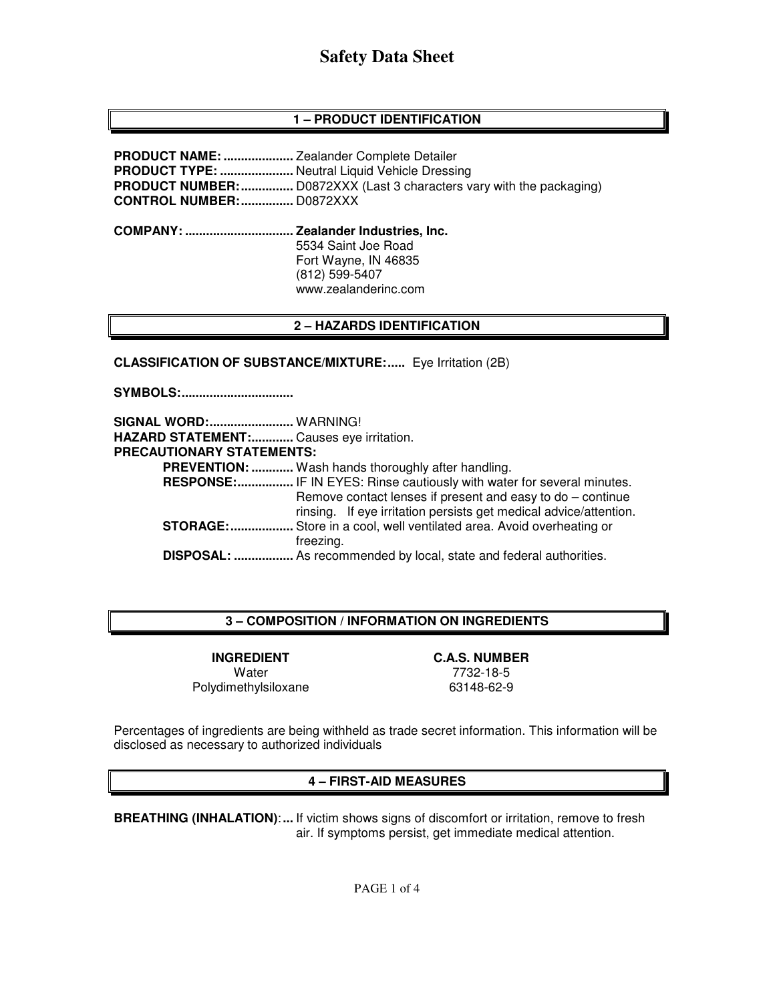# **1 – PRODUCT IDENTIFICATION**

**PRODUCT NAME: ....................** Zealander Complete Detailer **PRODUCT TYPE: .....................** Neutral Liquid Vehicle Dressing **PRODUCT NUMBER: ...............** D0872XXX (Last 3 characters vary with the packaging) **CONTROL NUMBER: ...............** D0872XXX **COMPANY: ............................... Zealander Industries, Inc.** 5534 Saint Joe Road Fort Wayne, IN 46835 (812) 599-5407 www.zealanderinc.com

### **2 – HAZARDS IDENTIFICATION**

**CLASSIFICATION OF SUBSTANCE/MIXTURE:.....** Eye Irritation (2B)

**SYMBOLS: ................................** 

**SIGNAL WORD: ........................** WARNING! **HAZARD STATEMENT: ............** Causes eye irritation. **PRECAUTIONARY STATEMENTS: PREVENTION: ............** Wash hands thoroughly after handling. **RESPONSE:................** IF IN EYES: Rinse cautiously with water for several minutes. Remove contact lenses if present and easy to do – continue rinsing. If eye irritation persists get medical advice/attention. **STORAGE: ..................** Store in a cool, well ventilated area. Avoid overheating or freezing.  **DISPOSAL: .................** As recommended by local, state and federal authorities.

### **3 – COMPOSITION / INFORMATION ON INGREDIENTS**

**INGREDIENT C.A.S. NUMBER**  Water 7732-18-5 Polydimethylsiloxane 63148-62-9

Percentages of ingredients are being withheld as trade secret information. This information will be disclosed as necessary to authorized individuals

#### **4 – FIRST-AID MEASURES**

**BREATHING (INHALATION)**: **...** If victim shows signs of discomfort or irritation, remove to fresh air. If symptoms persist, get immediate medical attention.

PAGE 1 of 4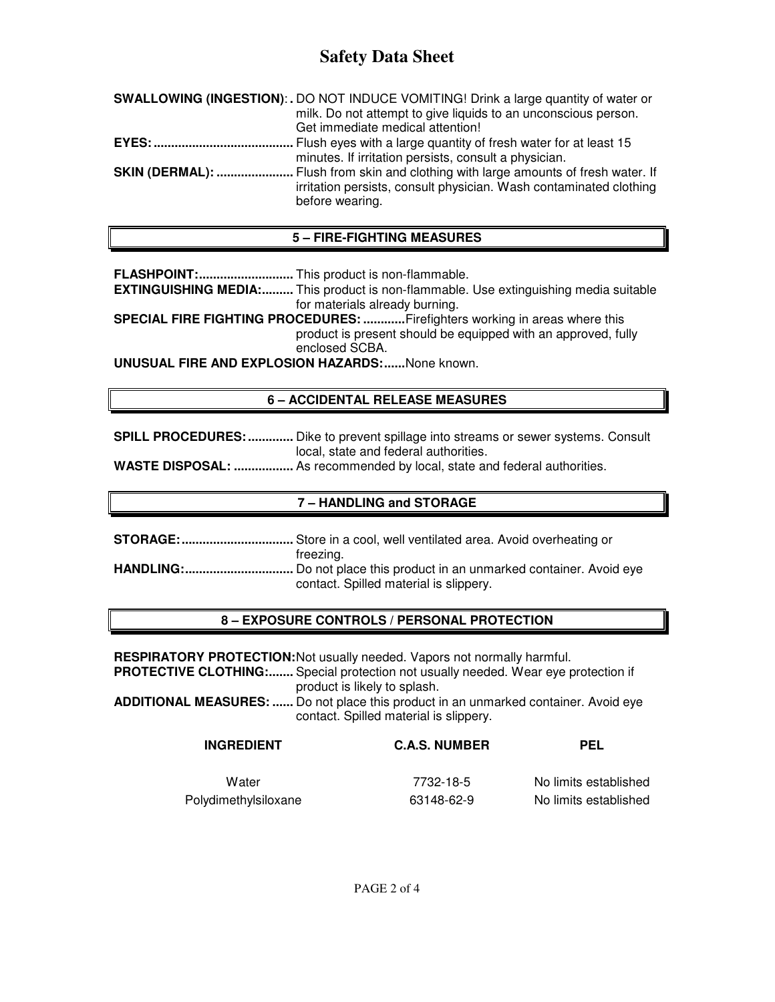# **Safety Data Sheet**

| SWALLOWING (INGESTION): . DO NOT INDUCE VOMITING! Drink a large quantity of water or                                                                            |
|-----------------------------------------------------------------------------------------------------------------------------------------------------------------|
|                                                                                                                                                                 |
|                                                                                                                                                                 |
|                                                                                                                                                                 |
|                                                                                                                                                                 |
| <b>SKIN (DERMAL): </b> Flush from skin and clothing with large amounts of fresh water. If<br>irritation persists, consult physician. Wash contaminated clothing |
| milk. Do not attempt to give liquids to an unconscious person.                                                                                                  |

# **5 – FIRE-FIGHTING MEASURES**

**FLASHPOINT: ...........................** This product is non-flammable.

**EXTINGUISHING MEDIA:.........** This product is non-flammable. Use extinguishing media suitable for materials already burning.

**SPECIAL FIRE FIGHTING PROCEDURES: ............** Firefighters working in areas where this product is present should be equipped with an approved, fully enclosed SCBA.

**UNUSUAL FIRE AND EXPLOSION HAZARDS: ......** None known.

# **6 – ACCIDENTAL RELEASE MEASURES**

**SPILL PROCEDURES: .............** Dike to prevent spillage into streams or sewer systems. Consult local, state and federal authorities.

**WASTE DISPOSAL: .................** As recommended by local, state and federal authorities.

# **7 – HANDLING and STORAGE**

**STORAGE: ................................** Store in a cool, well ventilated area. Avoid overheating or freezing. **HANDLING: ...............................** Do not place this product in an unmarked container. Avoid eye contact. Spilled material is slippery.

# **8 – EXPOSURE CONTROLS / PERSONAL PROTECTION**

**RESPIRATORY PROTECTION:** Not usually needed. Vapors not normally harmful.

**PROTECTIVE CLOTHING:.......** Special protection not usually needed. Wear eye protection if product is likely to splash.

**ADDITIONAL MEASURES: ......** Do not place this product in an unmarked container. Avoid eye contact. Spilled material is slippery.

| <b>INGREDIENT</b>    | <b>C.A.S. NUMBER</b> | PEL                   |
|----------------------|----------------------|-----------------------|
| Water                | 7732-18-5            | No limits established |
| Polydimethylsiloxane | 63148-62-9           | No limits established |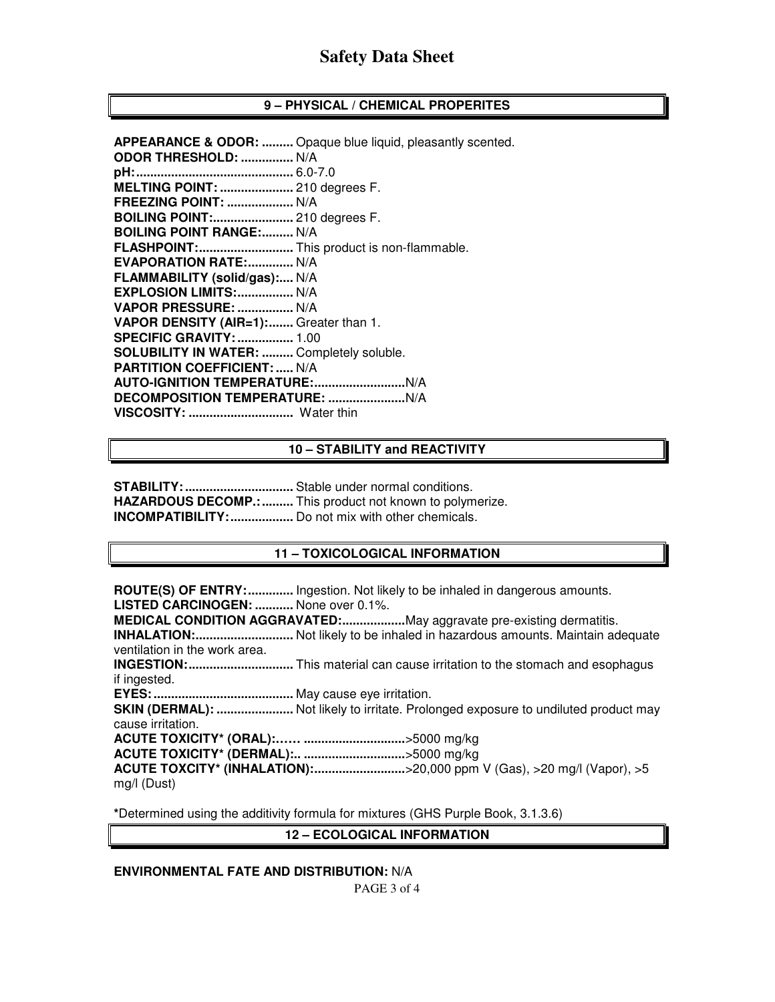### **9 – PHYSICAL / CHEMICAL PROPERITES**

|                                                  | <b>APPEARANCE &amp; ODOR: </b> Opaque blue liquid, pleasantly scented. |
|--------------------------------------------------|------------------------------------------------------------------------|
| ODOR THRESHOLD:  N/A                             |                                                                        |
|                                                  |                                                                        |
| MELTING POINT:  210 degrees F.                   |                                                                        |
| <b>FREEZING POINT:  N/A</b>                      |                                                                        |
| <b>BOILING POINT: 210 degrees F.</b>             |                                                                        |
| <b>BOILING POINT RANGE: N/A</b>                  |                                                                        |
| FLASHPOINT: This product is non-flammable.       |                                                                        |
| <b>EVAPORATION RATE: N/A</b>                     |                                                                        |
| FLAMMABILITY (solid/gas): N/A                    |                                                                        |
| EXPLOSION LIMITS:  N/A                           |                                                                        |
| VAPOR PRESSURE:  N/A                             |                                                                        |
| VAPOR DENSITY (AIR=1): Greater than 1.           |                                                                        |
| <b>SPECIFIC GRAVITY:  1.00</b>                   |                                                                        |
| <b>SOLUBILITY IN WATER:  Completely soluble.</b> |                                                                        |
| <b>PARTITION COEFFICIENT:  N/A</b>               |                                                                        |
|                                                  |                                                                        |
|                                                  |                                                                        |
| VISCOSITY:  Water thin                           |                                                                        |
|                                                  |                                                                        |

#### **10 – STABILITY and REACTIVITY**

**STABILITY: ...............................** Stable under normal conditions. **HAZARDOUS DECOMP.: .........** This product not known to polymerize. **INCOMPATIBILITY: ..................** Do not mix with other chemicals.

#### **11 – TOXICOLOGICAL INFORMATION**

**ROUTE(S) OF ENTRY: .............** Ingestion. Not likely to be inhaled in dangerous amounts. **LISTED CARCINOGEN: ...........** None over 0.1%. **MEDICAL CONDITION AGGRAVATED:...................May aggravate pre-existing dermatitis. INHALATION: ............................** Not likely to be inhaled in hazardous amounts. Maintain adequate ventilation in the work area. **INGESTION: ..............................** This material can cause irritation to the stomach and esophagus if ingested. **EYES: ........................................** May cause eye irritation. **SKIN (DERMAL): .........................** Not likely to irritate. Prolonged exposure to undiluted product may cause irritation. **ACUTE TOXICITY\* (ORAL):…… .............................** >5000 mg/kg **ACUTE TOXICITY\* (DERMAL):.. .............................** >5000 mg/kg **ACUTE TOXCITY\* (INHALATION): ..........................** >20,000 ppm V (Gas), >20 mg/l (Vapor), >5 mg/l (Dust)

**\***Determined using the additivity formula for mixtures (GHS Purple Book, 3.1.3.6)

# **12 – ECOLOGICAL INFORMATION**

### **ENVIRONMENTAL FATE AND DISTRIBUTION:** N/A

PAGE 3 of 4